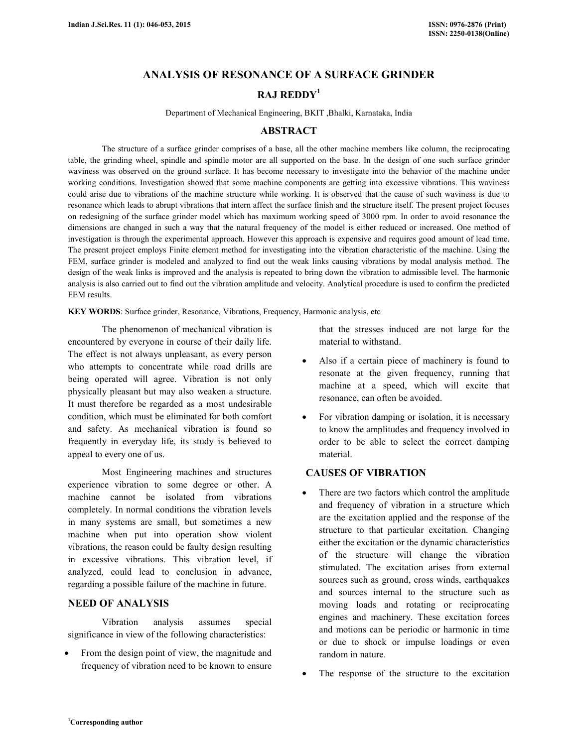# **ANALYSIS OF RESONANCE OF A SURFACE GRINDER**

# **RAJ REDDY<sup>1</sup>**

Department of Mechanical Engineering, BKIT ,Bhalki, Karnataka, India

## **ABSTRACT**

The structure of a surface grinder comprises of a base, all the other machine members like column, the reciprocating table, the grinding wheel, spindle and spindle motor are all supported on the base. In the design of one such surface grinder waviness was observed on the ground surface. It has become necessary to investigate into the behavior of the machine under working conditions. Investigation showed that some machine components are getting into excessive vibrations. This waviness could arise due to vibrations of the machine structure while working. It is observed that the cause of such waviness is due to resonance which leads to abrupt vibrations that intern affect the surface finish and the structure itself. The present project focuses on redesigning of the surface grinder model which has maximum working speed of 3000 rpm. In order to avoid resonance the dimensions are changed in such a way that the natural frequency of the model is either reduced or increased. One method of investigation is through the experimental approach. However this approach is expensive and requires good amount of lead time. The present project employs Finite element method for investigating into the vibration characteristic of the machine. Using the FEM, surface grinder is modeled and analyzed to find out the weak links causing vibrations by modal analysis method. The design of the weak links is improved and the analysis is repeated to bring down the vibration to admissible level. The harmonic analysis is also carried out to find out the vibration amplitude and velocity. Analytical procedure is used to confirm the predicted FEM results.

**KEY WORDS**: Surface grinder, Resonance, Vibrations, Frequency, Harmonic analysis, etc

 The phenomenon of mechanical vibration is encountered by everyone in course of their daily life. The effect is not always unpleasant, as every person who attempts to concentrate while road drills are being operated will agree. Vibration is not only physically pleasant but may also weaken a structure. It must therefore be regarded as a most undesirable condition, which must be eliminated for both comfort and safety. As mechanical vibration is found so frequently in everyday life, its study is believed to appeal to every one of us.

 Most Engineering machines and structures experience vibration to some degree or other. A machine cannot be isolated from vibrations completely. In normal conditions the vibration levels in many systems are small, but sometimes a new machine when put into operation show violent vibrations, the reason could be faulty design resulting in excessive vibrations. This vibration level, if analyzed, could lead to conclusion in advance, regarding a possible failure of the machine in future.

## **NEED OF ANALYSIS**

 Vibration analysis assumes special significance in view of the following characteristics:

From the design point of view, the magnitude and frequency of vibration need to be known to ensure that the stresses induced are not large for the material to withstand.

- Also if a certain piece of machinery is found to resonate at the given frequency, running that machine at a speed, which will excite that resonance, can often be avoided.
- For vibration damping or isolation, it is necessary to know the amplitudes and frequency involved in order to be able to select the correct damping material.

## **CAUSES OF VIBRATION**

- There are two factors which control the amplitude and frequency of vibration in a structure which are the excitation applied and the response of the structure to that particular excitation. Changing either the excitation or the dynamic characteristics of the structure will change the vibration stimulated. The excitation arises from external sources such as ground, cross winds, earthquakes and sources internal to the structure such as moving loads and rotating or reciprocating engines and machinery. These excitation forces and motions can be periodic or harmonic in time or due to shock or impulse loadings or even random in nature.
- The response of the structure to the excitation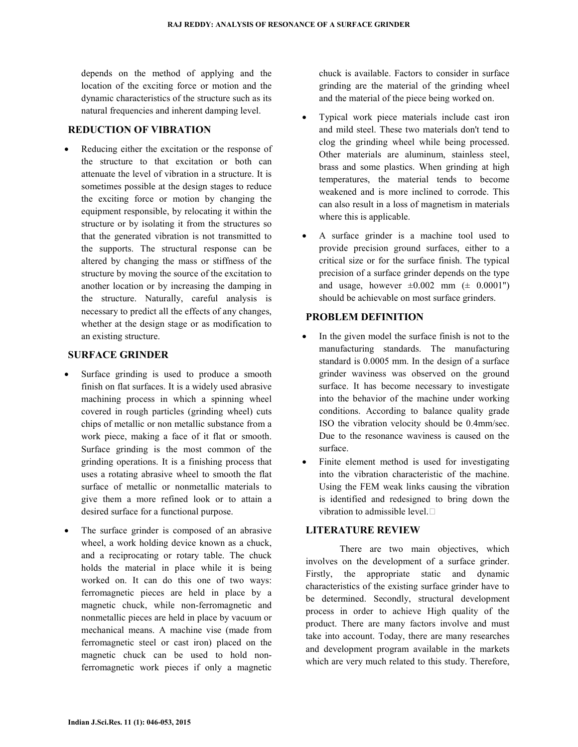depends on the method of applying and the location of the exciting force or motion and the dynamic characteristics of the structure such as its natural frequencies and inherent damping level.

## **REDUCTION OF VIBRATION**

Reducing either the excitation or the response of the structure to that excitation or both can attenuate the level of vibration in a structure. It is sometimes possible at the design stages to reduce the exciting force or motion by changing the equipment responsible, by relocating it within the structure or by isolating it from the structures so that the generated vibration is not transmitted to the supports. The structural response can be altered by changing the mass or stiffness of the structure by moving the source of the excitation to another location or by increasing the damping in the structure. Naturally, careful analysis is necessary to predict all the effects of any changes, whether at the design stage or as modification to an existing structure.

## **SURFACE GRINDER**

- Surface grinding is used to produce a smooth finish on flat surfaces. It is a widely used abrasive machining process in which a spinning wheel covered in rough particles (grinding wheel) cuts chips of metallic or non metallic substance from a work piece, making a face of it flat or smooth. Surface grinding is the most common of the grinding operations. It is a finishing process that uses a rotating abrasive wheel to smooth the flat surface of metallic or nonmetallic materials to give them a more refined look or to attain a desired surface for a functional purpose.
- The surface grinder is composed of an abrasive wheel, a work holding device known as a chuck, and a reciprocating or rotary table. The chuck holds the material in place while it is being worked on. It can do this one of two ways: ferromagnetic pieces are held in place by a magnetic chuck, while non-ferromagnetic and nonmetallic pieces are held in place by vacuum or mechanical means. A machine vise (made from ferromagnetic steel or cast iron) placed on the magnetic chuck can be used to hold nonferromagnetic work pieces if only a magnetic

chuck is available. Factors to consider in surface grinding are the material of the grinding wheel and the material of the piece being worked on.

- Typical work piece materials include cast iron and mild steel. These two materials don't tend to clog the grinding wheel while being processed. Other materials are aluminum, stainless steel, brass and some plastics. When grinding at high temperatures, the material tends to become weakened and is more inclined to corrode. This can also result in a loss of magnetism in materials where this is applicable.
- A surface grinder is a machine tool used to provide precision ground surfaces, either to a critical size or for the surface finish. The typical precision of a surface grinder depends on the type and usage, however  $\pm 0.002$  mm ( $\pm$  0.0001") should be achievable on most surface grinders.

## **PROBLEM DEFINITION**

- In the given model the surface finish is not to the manufacturing standards. The manufacturing standard is 0.0005 mm. In the design of a surface grinder waviness was observed on the ground surface. It has become necessary to investigate into the behavior of the machine under working conditions. According to balance quality grade ISO the vibration velocity should be 0.4mm/sec. Due to the resonance waviness is caused on the surface.
- Finite element method is used for investigating into the vibration characteristic of the machine. Using the FEM weak links causing the vibration is identified and redesigned to bring down the vibration to admissible level. $\square$

## **LITERATURE REVIEW**

 There are two main objectives, which involves on the development of a surface grinder. Firstly, the appropriate static and dynamic characteristics of the existing surface grinder have to be determined. Secondly, structural development process in order to achieve High quality of the product. There are many factors involve and must take into account. Today, there are many researches and development program available in the markets which are very much related to this study. Therefore,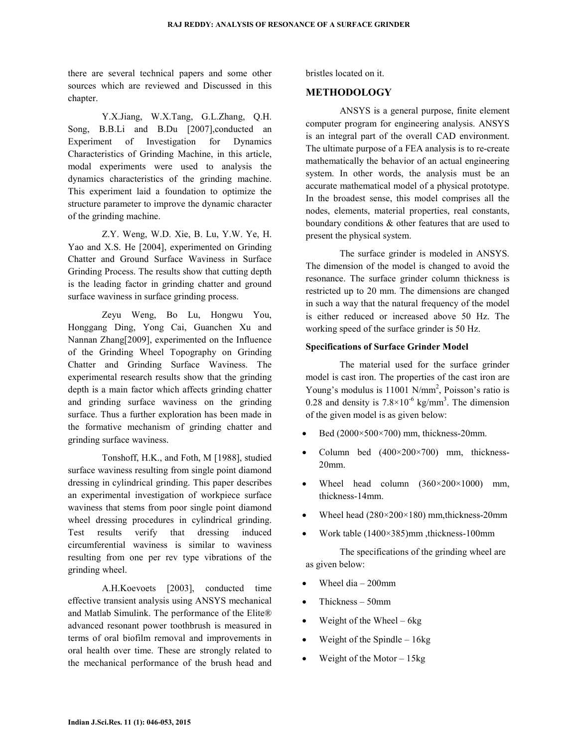there are several technical papers and some other sources which are reviewed and Discussed in this chapter.

 Y.X.Jiang, W.X.Tang, G.L.Zhang, Q.H. Song, B.B.Li and B.Du [2007], conducted an Experiment of Investigation for Dynamics Characteristics of Grinding Machine, in this article, modal experiments were used to analysis the dynamics characteristics of the grinding machine. This experiment laid a foundation to optimize the structure parameter to improve the dynamic character of the grinding machine.

 Z.Y. Weng, W.D. Xie, B. Lu, Y.W. Ye, H. Yao and X.S. He [2004], experimented on Grinding Chatter and Ground Surface Waviness in Surface Grinding Process. The results show that cutting depth is the leading factor in grinding chatter and ground surface waviness in surface grinding process.

 Zeyu Weng, Bo Lu, Hongwu You, Honggang Ding, Yong Cai, Guanchen Xu and Nannan Zhang[2009], experimented on the Influence of the Grinding Wheel Topography on Grinding Chatter and Grinding Surface Waviness. The experimental research results show that the grinding depth is a main factor which affects grinding chatter and grinding surface waviness on the grinding surface. Thus a further exploration has been made in the formative mechanism of grinding chatter and grinding surface waviness.

 Tonshoff, H.K., and Foth, M [1988], studied surface waviness resulting from single point diamond dressing in cylindrical grinding. This paper describes an experimental investigation of workpiece surface waviness that stems from poor single point diamond wheel dressing procedures in cylindrical grinding. Test results verify that dressing induced circumferential waviness is similar to waviness resulting from one per rev type vibrations of the grinding wheel.

 A.H.Koevoets [2003], conducted time effective transient analysis using ANSYS mechanical and Matlab Simulink. The performance of the Elite® advanced resonant power toothbrush is measured in terms of oral biofilm removal and improvements in oral health over time. These are strongly related to the mechanical performance of the brush head and bristles located on it.

### **METHODOLOGY**

 ANSYS is a general purpose, finite element computer program for engineering analysis. ANSYS is an integral part of the overall CAD environment. The ultimate purpose of a FEA analysis is to re-create mathematically the behavior of an actual engineering system. In other words, the analysis must be an accurate mathematical model of a physical prototype. In the broadest sense, this model comprises all the nodes, elements, material properties, real constants, boundary conditions & other features that are used to present the physical system.

 The surface grinder is modeled in ANSYS. The dimension of the model is changed to avoid the resonance. The surface grinder column thickness is restricted up to 20 mm. The dimensions are changed in such a way that the natural frequency of the model is either reduced or increased above 50 Hz. The working speed of the surface grinder is 50 Hz.

### **Specifications of Surface Grinder Model**

 The material used for the surface grinder model is cast iron. The properties of the cast iron are Young's modulus is 11001 N/mm<sup>2</sup>, Poisson's ratio is 0.28 and density is  $7.8 \times 10^{-6}$  kg/mm<sup>3</sup>. The dimension of the given model is as given below:

- Bed  $(2000\times500\times700)$  mm, thickness-20mm.
- Column bed  $(400\times200\times700)$  mm, thickness-20mm.
- Wheel head column  $(360 \times 200 \times 1000)$  mm, thickness-14mm.
- Wheel head (280×200×180) mm,thickness-20mm
- Work table (1400×385)mm ,thickness-100mm

 The specifications of the grinding wheel are as given below:

- Wheel dia  $-200$ mm
- Thickness 50mm
- Weight of the Wheel  $-6kg$
- Weight of the Spindle  $-16kg$
- Weight of the Motor  $-15kg$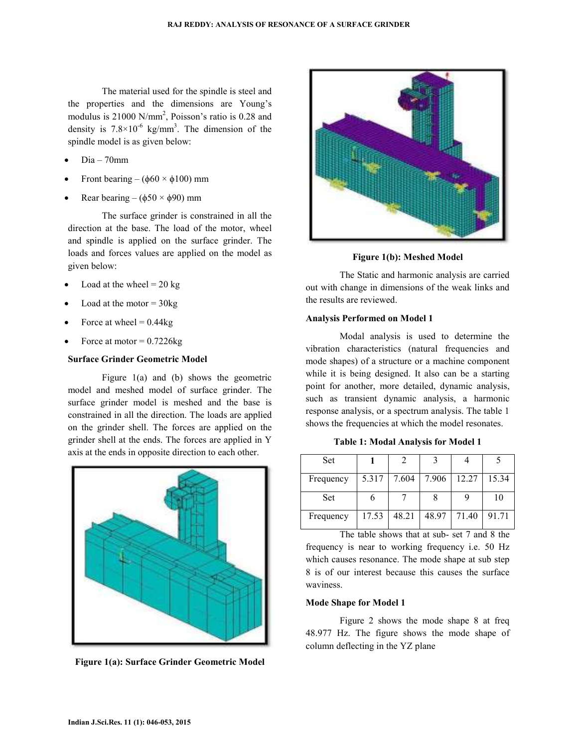The material used for the spindle is steel and the properties and the dimensions are Young's modulus is 21000 N/mm<sup>2</sup>, Poisson's ratio is 0.28 and density is  $7.8 \times 10^{-6}$  kg/mm<sup>3</sup>. The dimension of the spindle model is as given below:

- Dia 70mm
- Front bearing ( $\phi$ 60 ×  $\phi$ 100) mm
- Rear bearing ( $\phi$ 50 ×  $\phi$ 90) mm

 The surface grinder is constrained in all the direction at the base. The load of the motor, wheel and spindle is applied on the surface grinder. The loads and forces values are applied on the model as given below:

- Load at the wheel  $= 20$  kg
- Load at the motor  $=$  30 kg
- Force at wheel  $= 0.44$ kg
- Force at motor  $= 0.7226$ kg

## **Surface Grinder Geometric Model**

 Figure 1(a) and (b) shows the geometric model and meshed model of surface grinder. The surface grinder model is meshed and the base is constrained in all the direction. The loads are applied on the grinder shell. The forces are applied on the grinder shell at the ends. The forces are applied in Y axis at the ends in opposite direction to each other.



**Figure 1(a): Surface Grinder Geometric Model** 



**Figure 1(b): Meshed Model** 

 The Static and harmonic analysis are carried out with change in dimensions of the weak links and the results are reviewed.

### **Analysis Performed on Model 1**

 Modal analysis is used to determine the vibration characteristics (natural frequencies and mode shapes) of a structure or a machine component while it is being designed. It also can be a starting point for another, more detailed, dynamic analysis, such as transient dynamic analysis, a harmonic response analysis, or a spectrum analysis. The table 1 shows the frequencies at which the model resonates.

**Table 1: Modal Analysis for Model 1**

| <b>Set</b> |       |       |       |       |       |
|------------|-------|-------|-------|-------|-------|
| Frequency  | 5.317 | 7.604 | 7.906 | 12.27 | 15.34 |
| <b>Set</b> |       |       |       |       | 10    |
| Frequency  | 17.53 | 48.21 | 48.97 | 71.40 | 91.71 |

 The table shows that at sub- set 7 and 8 the frequency is near to working frequency i.e. 50 Hz which causes resonance. The mode shape at sub step 8 is of our interest because this causes the surface waviness.

#### **Mode Shape for Model 1**

 Figure 2 shows the mode shape 8 at freq 48.977 Hz. The figure shows the mode shape of column deflecting in the YZ plane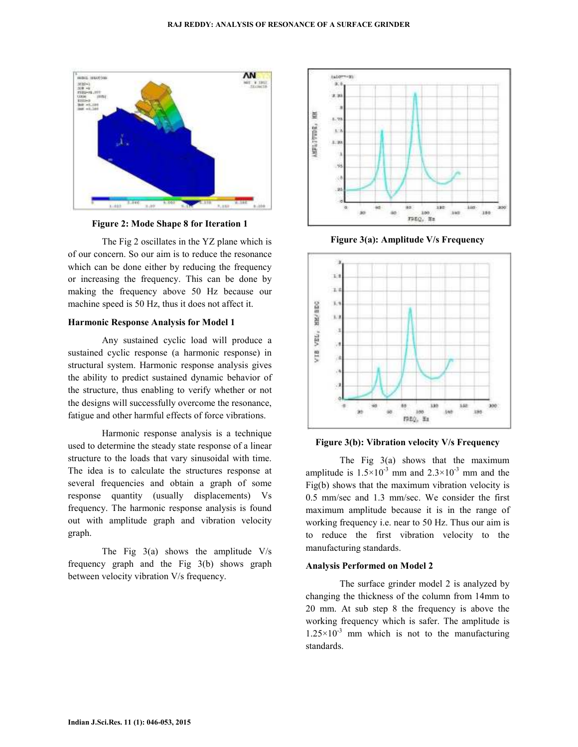

**Figure 2: Mode Shape 8 for Iteration 1** 

 The Fig 2 oscillates in the YZ plane which is of our concern. So our aim is to reduce the resonance which can be done either by reducing the frequency or increasing the frequency. This can be done by making the frequency above 50 Hz because our machine speed is 50 Hz, thus it does not affect it.

#### **Harmonic Response Analysis for Model 1**

 Any sustained cyclic load will produce a sustained cyclic response (a harmonic response) in structural system. Harmonic response analysis gives the ability to predict sustained dynamic behavior of the structure, thus enabling to verify whether or not the designs will successfully overcome the resonance, fatigue and other harmful effects of force vibrations.

 Harmonic response analysis is a technique used to determine the steady state response of a linear structure to the loads that vary sinusoidal with time. The idea is to calculate the structures response at several frequencies and obtain a graph of some response quantity (usually displacements) Vs frequency. The harmonic response analysis is found out with amplitude graph and vibration velocity graph.

The Fig  $3(a)$  shows the amplitude V/s frequency graph and the Fig 3(b) shows graph between velocity vibration V/s frequency.



**Figure 3(a): Amplitude V/s Frequency** 



### **Figure 3(b): Vibration velocity V/s Frequency**

 The Fig 3(a) shows that the maximum amplitude is  $1.5 \times 10^{-3}$  mm and  $2.3 \times 10^{-3}$  mm and the Fig(b) shows that the maximum vibration velocity is 0.5 mm/sec and 1.3 mm/sec. We consider the first maximum amplitude because it is in the range of working frequency i.e. near to 50 Hz. Thus our aim is to reduce the first vibration velocity to the manufacturing standards.

#### **Analysis Performed on Model 2**

 The surface grinder model 2 is analyzed by changing the thickness of the column from 14mm to 20 mm. At sub step 8 the frequency is above the working frequency which is safer. The amplitude is  $1.25 \times 10^{-3}$  mm which is not to the manufacturing standards.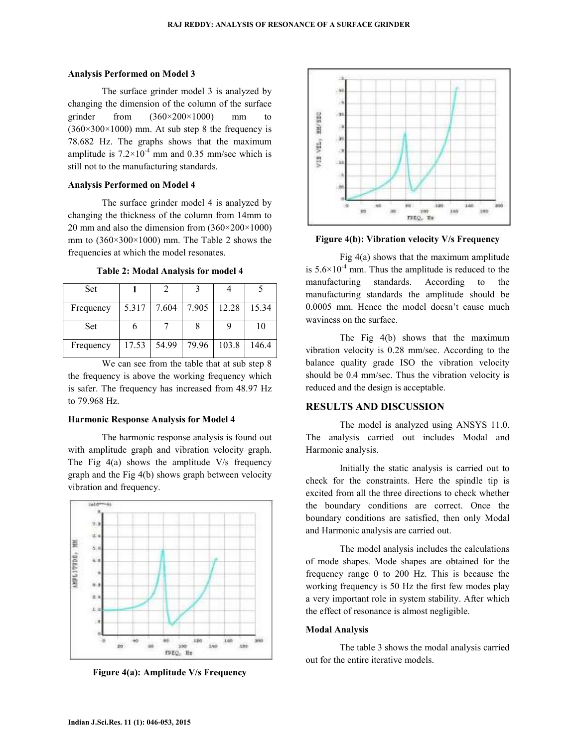#### **Analysis Performed on Model 3**

 The surface grinder model 3 is analyzed by changing the dimension of the column of the surface grinder from  $(360\times200\times1000)$  mm to  $(360\times300\times1000)$  mm. At sub step 8 the frequency is 78.682 Hz. The graphs shows that the maximum amplitude is  $7.2 \times 10^{-4}$  mm and 0.35 mm/sec which is still not to the manufacturing standards.

#### **Analysis Performed on Model 4**

 The surface grinder model 4 is analyzed by changing the thickness of the column from 14mm to 20 mm and also the dimension from  $(360\times200\times1000)$ mm to (360×300×1000) mm. The Table 2 shows the frequencies at which the model resonates.

| <b>Table 2: Modal Analysis for model 4</b> |       |       |  |             |     |
|--------------------------------------------|-------|-------|--|-------------|-----|
| Set                                        |       |       |  |             |     |
| Frequency                                  | 5.317 | 7.604 |  | 7.905 12.28 | 5.3 |

| Frequency | 5.317 | 7.604 | 7.905 | 12.28 | 15.34 |
|-----------|-------|-------|-------|-------|-------|
|           |       |       |       |       |       |
| Set       |       |       |       |       | 10    |
|           |       |       |       |       |       |
| Frequency | 17.53 | 54.99 | 79.96 | 103.8 | 146.4 |
|           |       |       |       |       |       |

 We can see from the table that at sub step 8 the frequency is above the working frequency which is safer. The frequency has increased from 48.97 Hz to 79.968 Hz.

### **Harmonic Response Analysis for Model 4**

 The harmonic response analysis is found out with amplitude graph and vibration velocity graph. The Fig  $4(a)$  shows the amplitude V/s frequency graph and the Fig 4(b) shows graph between velocity vibration and frequency.



**Figure 4(a): Amplitude V/s Frequency** 



**Figure 4(b): Vibration velocity V/s Frequency**

 Fig 4(a) shows that the maximum amplitude is  $5.6 \times 10^{-4}$  mm. Thus the amplitude is reduced to the manufacturing standards. According to the manufacturing standards the amplitude should be 0.0005 mm. Hence the model doesn't cause much waviness on the surface.

 The Fig 4(b) shows that the maximum vibration velocity is 0.28 mm/sec. According to the balance quality grade ISO the vibration velocity should be 0.4 mm/sec. Thus the vibration velocity is reduced and the design is acceptable.

## **RESULTS AND DISCUSSION**

 The model is analyzed using ANSYS 11.0. The analysis carried out includes Modal and Harmonic analysis.

 Initially the static analysis is carried out to check for the constraints. Here the spindle tip is excited from all the three directions to check whether the boundary conditions are correct. Once the boundary conditions are satisfied, then only Modal and Harmonic analysis are carried out.

 The model analysis includes the calculations of mode shapes. Mode shapes are obtained for the frequency range 0 to 200 Hz. This is because the working frequency is 50 Hz the first few modes play a very important role in system stability. After which the effect of resonance is almost negligible.

#### **Modal Analysis**

 The table 3 shows the modal analysis carried out for the entire iterative models.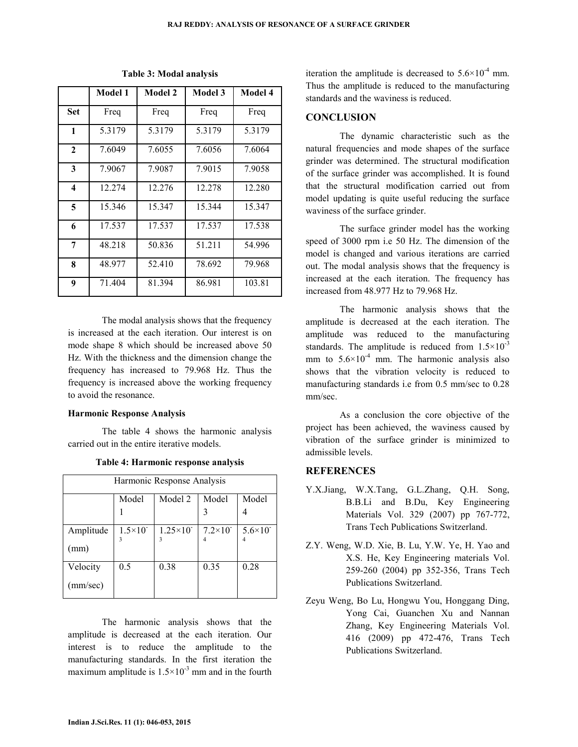|              | Model 1 | <b>Model 2</b> | Model 3 | Model 4 |
|--------------|---------|----------------|---------|---------|
| Set          | Freq    | Freq           | Freq    | Freq    |
| 1            | 5.3179  | 5.3179         | 5.3179  | 5.3179  |
| $\mathbf{2}$ | 7.6049  | 7.6055         | 7.6056  | 7.6064  |
| 3            | 7.9067  | 7.9087         | 7.9015  | 7.9058  |
| 4            | 12.274  | 12.276         | 12.278  | 12.280  |
| 5            | 15.346  | 15.347         | 15.344  | 15.347  |
| 6            | 17.537  | 17.537         | 17.537  | 17.538  |
| 7            | 48.218  | 50.836         | 51.211  | 54.996  |
| 8            | 48.977  | 52.410         | 78.692  | 79.968  |
| 9            | 71.404  | 81.394         | 86.981  | 103.81  |

**Table 3: Modal analysis**

 The modal analysis shows that the frequency is increased at the each iteration. Our interest is on mode shape 8 which should be increased above 50 Hz. With the thickness and the dimension change the frequency has increased to 79.968 Hz. Thus the frequency is increased above the working frequency to avoid the resonance.

### **Harmonic Response Analysis**

 The table 4 shows the harmonic analysis carried out in the entire iterative models.

| Harmonic Response Analysis |                      |                            |                    |                      |  |
|----------------------------|----------------------|----------------------------|--------------------|----------------------|--|
|                            | Model                | Model 2                    | Model              | Model                |  |
|                            |                      |                            |                    |                      |  |
| Amplitude                  | $1.5 \times 10^{-7}$ | $1.25 \times 10^{-7}$<br>3 | $7.2\times10^{-7}$ | $5.6 \times 10^{-7}$ |  |
| (mm)                       |                      |                            |                    |                      |  |
| Velocity                   | 0.5                  | 0.38                       | 0.35               | 0.28                 |  |
| (mm/sec)                   |                      |                            |                    |                      |  |

#### **Table 4: Harmonic response analysis**

 The harmonic analysis shows that the amplitude is decreased at the each iteration. Our interest is to reduce the amplitude to the manufacturing standards. In the first iteration the maximum amplitude is  $1.5 \times 10^{-3}$  mm and in the fourth

iteration the amplitude is decreased to  $5.6 \times 10^{-4}$  mm. Thus the amplitude is reduced to the manufacturing standards and the waviness is reduced.

### **CONCLUSION**

 The dynamic characteristic such as the natural frequencies and mode shapes of the surface grinder was determined. The structural modification of the surface grinder was accomplished. It is found that the structural modification carried out from model updating is quite useful reducing the surface waviness of the surface grinder.

 The surface grinder model has the working speed of 3000 rpm i.e 50 Hz. The dimension of the model is changed and various iterations are carried out. The modal analysis shows that the frequency is increased at the each iteration. The frequency has increased from 48.977 Hz to 79.968 Hz.

 The harmonic analysis shows that the amplitude is decreased at the each iteration. The amplitude was reduced to the manufacturing standards. The amplitude is reduced from  $1.5 \times 10^{-3}$ mm to  $5.6 \times 10^{-4}$  mm. The harmonic analysis also shows that the vibration velocity is reduced to manufacturing standards i.e from 0.5 mm/sec to 0.28 mm/sec.

 As a conclusion the core objective of the project has been achieved, the waviness caused by vibration of the surface grinder is minimized to admissible levels.

### **REFERENCES**

- Y.X.Jiang, W.X.Tang, G.L.Zhang, Q.H. Song, B.B.Li and B.Du, Key Engineering Materials Vol. 329 (2007) pp 767-772, Trans Tech Publications Switzerland.
- Z.Y. Weng, W.D. Xie, B. Lu, Y.W. Ye, H. Yao and X.S. He, Key Engineering materials Vol. 259-260 (2004) pp 352-356, Trans Tech Publications Switzerland.
- Zeyu Weng, Bo Lu, Hongwu You, Honggang Ding, Yong Cai, Guanchen Xu and Nannan Zhang, Key Engineering Materials Vol. 416 (2009) pp 472-476, Trans Tech Publications Switzerland.